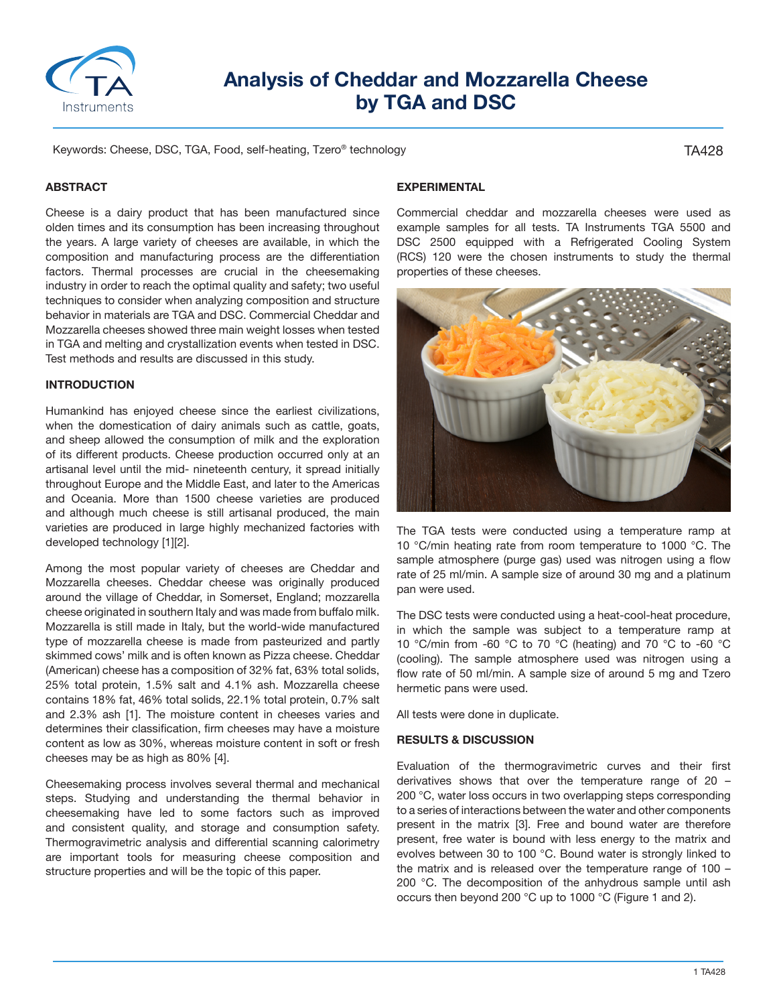

# **Analysis of Cheddar and Mozzarella Cheese by TGA and DSC**

Keywords: Cheese, DSC, TGA, Food, self-heating, Tzero® technology

TA428

## **ABSTRACT**

Cheese is a dairy product that has been manufactured since olden times and its consumption has been increasing throughout the years. A large variety of cheeses are available, in which the composition and manufacturing process are the differentiation factors. Thermal processes are crucial in the cheesemaking industry in order to reach the optimal quality and safety; two useful techniques to consider when analyzing composition and structure behavior in materials are TGA and DSC. Commercial Cheddar and Mozzarella cheeses showed three main weight losses when tested in TGA and melting and crystallization events when tested in DSC. Test methods and results are discussed in this study.

#### **INTRODUCTION**

Humankind has enjoyed cheese since the earliest civilizations, when the domestication of dairy animals such as cattle, goats, and sheep allowed the consumption of milk and the exploration of its different products. Cheese production occurred only at an artisanal level until the mid- nineteenth century, it spread initially throughout Europe and the Middle East, and later to the Americas and Oceania. More than 1500 cheese varieties are produced and although much cheese is still artisanal produced, the main varieties are produced in large highly mechanized factories with developed technology [1][2].

Among the most popular variety of cheeses are Cheddar and Mozzarella cheeses. Cheddar cheese was originally produced around the village of Cheddar, in Somerset, England; mozzarella cheese originated in southern Italy and was made from buffalo milk. Mozzarella is still made in Italy, but the world-wide manufactured type of mozzarella cheese is made from pasteurized and partly skimmed cows' milk and is often known as Pizza cheese. Cheddar (American) cheese has a composition of 32% fat, 63% total solids, 25% total protein, 1.5% salt and 4.1% ash. Mozzarella cheese contains 18% fat, 46% total solids, 22.1% total protein, 0.7% salt and 2.3% ash [1]. The moisture content in cheeses varies and determines their classification, firm cheeses may have a moisture content as low as 30%, whereas moisture content in soft or fresh cheeses may be as high as 80% [4].

Cheesemaking process involves several thermal and mechanical steps. Studying and understanding the thermal behavior in cheesemaking have led to some factors such as improved and consistent quality, and storage and consumption safety. Thermogravimetric analysis and differential scanning calorimetry are important tools for measuring cheese composition and structure properties and will be the topic of this paper.

# **EXPERIMENTAL**

Commercial cheddar and mozzarella cheeses were used as example samples for all tests. TA Instruments TGA 5500 and DSC 2500 equipped with a Refrigerated Cooling System (RCS) 120 were the chosen instruments to study the thermal properties of these cheeses.



The TGA tests were conducted using a temperature ramp at 10 °C/min heating rate from room temperature to 1000 °C. The sample atmosphere (purge gas) used was nitrogen using a flow rate of 25 ml/min. A sample size of around 30 mg and a platinum pan were used.

The DSC tests were conducted using a heat-cool-heat procedure, in which the sample was subject to a temperature ramp at 10 °C/min from -60 °C to 70 °C (heating) and 70 °C to -60 °C (cooling). The sample atmosphere used was nitrogen using a flow rate of 50 ml/min. A sample size of around 5 mg and Tzero hermetic pans were used.

All tests were done in duplicate.

#### **RESULTS & DISCUSSION**

Evaluation of the thermogravimetric curves and their first derivatives shows that over the temperature range of 20 – 200 °C, water loss occurs in two overlapping steps corresponding to a series of interactions between the water and other components present in the matrix [3]. Free and bound water are therefore present, free water is bound with less energy to the matrix and evolves between 30 to 100 °C. Bound water is strongly linked to the matrix and is released over the temperature range of 100 – 200 °C. The decomposition of the anhydrous sample until ash occurs then beyond 200 °C up to 1000 °C (Figure 1 and 2).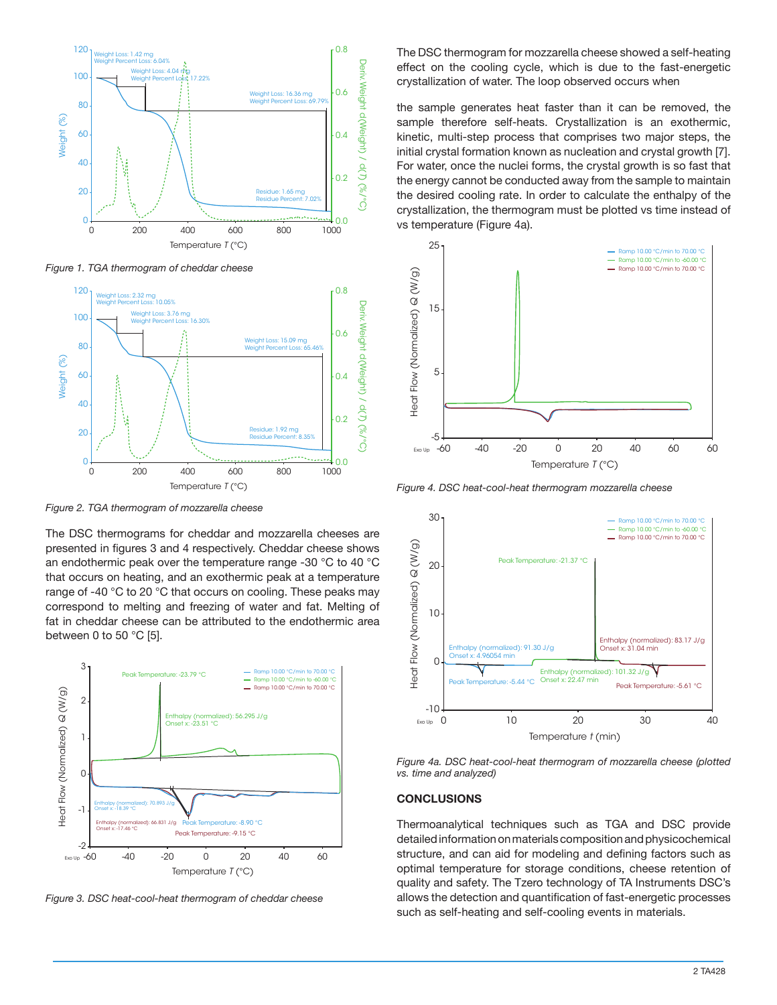

*Figure 1. TGA thermogram of cheddar cheese*



*Figure 2. TGA thermogram of mozzarella cheese*

The DSC thermograms for cheddar and mozzarella cheeses are presented in figures 3 and 4 respectively. Cheddar cheese shows an endothermic peak over the temperature range -30 °C to 40 °C that occurs on heating, and an exothermic peak at a temperature range of -40 °C to 20 °C that occurs on cooling. These peaks may correspond to melting and freezing of water and fat. Melting of fat in cheddar cheese can be attributed to the endothermic area between 0 to 50 $\degree$ C [5].



*Figure 3. DSC heat-cool-heat thermogram of cheddar cheese*

The DSC thermogram for mozzarella cheese showed a self-heating effect on the cooling cycle, which is due to the fast-energetic crystallization of water. The loop observed occurs when

the sample generates heat faster than it can be removed, the sample therefore self-heats. Crystallization is an exothermic, kinetic, multi-step process that comprises two major steps, the initial crystal formation known as nucleation and crystal growth [7]. For water, once the nuclei forms, the crystal growth is so fast that the energy cannot be conducted away from the sample to maintain the desired cooling rate. In order to calculate the enthalpy of the crystallization, the thermogram must be plotted vs time instead of vs temperature (Figure 4a).



*Figure 4. DSC heat-cool-heat thermogram mozzarella cheese*



*Figure 4a. DSC heat-cool-heat thermogram of mozzarella cheese (plotted vs. time and analyzed)*

# **CONCLUSIONS**

Thermoanalytical techniques such as TGA and DSC provide detailed information on materials composition and physicochemical structure, and can aid for modeling and defining factors such as optimal temperature for storage conditions, cheese retention of quality and safety. The Tzero technology of TA Instruments DSC's allows the detection and quantification of fast-energetic processes such as self-heating and self-cooling events in materials.